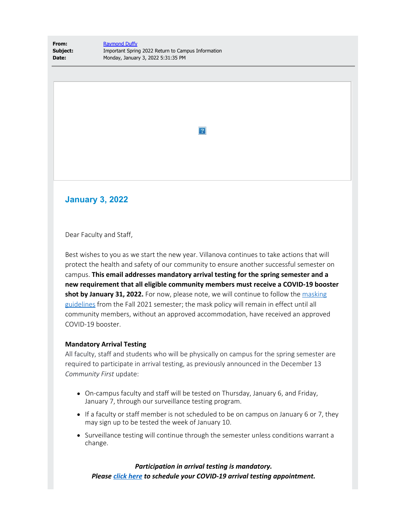**From:** [Raymond Duffy](mailto:raymond.duffy@villanova.edu) **Subject:** Important Spring 2022 Return to Campus Information **Date:** Monday, January 3, 2022 5:31:35 PM

 $|2|$ 

## **January 3, 2022**

Dear Faculty and Staff,

Best wishes to you as we start the new year. Villanova continues to take actions that will protect the health and safety of our community to ensure another successful semester on campus. **This email addresses mandatory arrival testing for the spring semester and a new requirement that all eligible community members must receive a COVID-19 booster shot by January 31, 2022.** For now, please note, we will continue to follow the [masking](https://www1.villanova.edu/university/return-to-campus/guidance.html) [guidelines](https://www1.villanova.edu/university/return-to-campus/guidance.html) from the Fall 2021 semester; the mask policy will remain in effect until all community members, without an approved accommodation, have received an approved COVID-19 booster.

## **Mandatory Arrival Testing**

All faculty, staff and students who will be physically on campus for the spring semester are required to participate in arrival testing, as previously announced in the December 13 *Community First* update:

- On-campus faculty and staff will be tested on Thursday, January 6, and Friday, January 7, through our surveillance testing program.
- If a faculty or staff member is not scheduled to be on campus on January 6 or 7, they may sign up to be tested the week of January 10.
- Surveillance testing will continue through the semester unless conditions warrant a change.

*Participation in arrival testing is mandatory. Please [click here](https://nam04.safelinks.protection.outlook.com/?url=https%3A%2F%2Foutlook.office365.com%2Fowa%2Fcalendar%2FSpring2022COVID19SurveillanceTesting%40villanova.onmicrosoft.com%2Fbookings%2F&data=04%7C01%7Ctimothy.bair%40villanova.edu%7Cc611cd11fa314a8fcc8f08d9cf08c138%7C765a8de5cf9444f09cafae5bf8cfa366%7C0%7C0%7C637768458946523520%7CUnknown%7CTWFpbGZsb3d8eyJWIjoiMC4wLjAwMDAiLCJQIjoiV2luMzIiLCJBTiI6Ik1haWwiLCJXVCI6Mn0%3D%7C3000&sdata=mPGPNvR5lKhwVPAnG1TZPyJWM4phz9a8APV%2FBvD9LnA%3D&reserved=0) to schedule your COVID-19 arrival testing appointment.*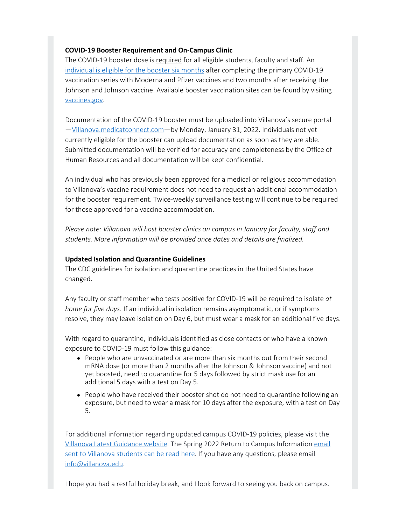## **COVID-19 Booster Requirement and On-Campus Clinic**

The COVID-19 booster dose is required for all eligible students, faculty and staff. An [individual is eligible for the booster six months](https://nam04.safelinks.protection.outlook.com/?url=https%3A%2F%2Fwww.cdc.gov%2Fcoronavirus%2F2019-ncov%2Fvaccines%2Fbooster-shot.html%23%3A~%3Atext%3Dyears%2520or%2520older-%2CWhen%2520to%2520get%2520a%2520booster%253A%2Cyour%2520primary%2520COVID-19%2520vaccination.&data=04%7C01%7Ctimothy.bair%40villanova.edu%7Cc611cd11fa314a8fcc8f08d9cf08c138%7C765a8de5cf9444f09cafae5bf8cfa366%7C0%7C0%7C637768458946523520%7CUnknown%7CTWFpbGZsb3d8eyJWIjoiMC4wLjAwMDAiLCJQIjoiV2luMzIiLCJBTiI6Ik1haWwiLCJXVCI6Mn0%3D%7C3000&sdata=yokySqCfEiQdqQaWs%2B2Gl6J6oJcl75%2FMlA5oxyoi4xc%3D&reserved=0) after completing the primary COVID-19 vaccination series with Moderna and Pfizer vaccines and two months after receiving the Johnson and Johnson vaccine. Available booster vaccination sites can be found by visiting [vaccines.gov](https://nam04.safelinks.protection.outlook.com/?url=https%3A%2F%2Fwww.vaccines.gov%2F&data=04%7C01%7Ctimothy.bair%40villanova.edu%7Cc611cd11fa314a8fcc8f08d9cf08c138%7C765a8de5cf9444f09cafae5bf8cfa366%7C0%7C0%7C637768458946533509%7CUnknown%7CTWFpbGZsb3d8eyJWIjoiMC4wLjAwMDAiLCJQIjoiV2luMzIiLCJBTiI6Ik1haWwiLCJXVCI6Mn0%3D%7C3000&sdata=HAYmYh4ObcOkWmeAgtuS8UAciVrZ7nizTluObcU0dFY%3D&reserved=0).

Documentation of the COVID-19 booster must be uploaded into Villanova's secure portal [—Villanova.medicatconnect.com](https://nam04.safelinks.protection.outlook.com/?url=http%3A%2F%2Fvillanova.medicatconnect.com%2F&data=04%7C01%7Ctimothy.bair%40villanova.edu%7Cc611cd11fa314a8fcc8f08d9cf08c138%7C765a8de5cf9444f09cafae5bf8cfa366%7C0%7C0%7C637768458946543509%7CUnknown%7CTWFpbGZsb3d8eyJWIjoiMC4wLjAwMDAiLCJQIjoiV2luMzIiLCJBTiI6Ik1haWwiLCJXVCI6Mn0%3D%7C3000&sdata=R1GlC84hlxnzvXBQQzbV5n40dyUn2uEITbMxVoajmyw%3D&reserved=0)—by Monday, January 31, 2022. Individuals not yet currently eligible for the booster can upload documentation as soon as they are able. Submitted documentation will be verified for accuracy and completeness by the Office of Human Resources and all documentation will be kept confidential.

An individual who has previously been approved for a medical or religious accommodation to Villanova's vaccine requirement does not need to request an additional accommodation for the booster requirement. Twice-weekly surveillance testing will continue to be required for those approved for a vaccine accommodation.

*Please note: Villanova will host booster clinics on campus in January for faculty, staff and students. More information will be provided once dates and details are finalized.*

## **Updated Isolation and Quarantine Guidelines**

The CDC guidelines for isolation and quarantine practices in the United States have changed.

Any faculty or staff member who tests positive for COVID-19 will be required to isolate *at home for five days*. If an individual in isolation remains asymptomatic, or if symptoms resolve, they may leave isolation on Day 6, but must wear a mask for an additional five days.

With regard to quarantine, individuals identified as close contacts or who have a known exposure to COVID-19 must follow this guidance:

- People who are unvaccinated or are more than six months out from their second mRNA dose (or more than 2 months after the Johnson & Johnson vaccine) and not yet boosted, need to quarantine for 5 days followed by strict mask use for an additional 5 days with a test on Day 5.
- People who have received their booster shot do not need to quarantine following an exposure, but need to wear a mask for 10 days after the exposure, with a test on Day 5.

For additional information regarding updated campus COVID-19 policies, please visit the [Villanova Latest Guidance website](https://www1.villanova.edu/university/return-to-campus/guidance.html). The Spring 2022 Return to Campus Information [email](https://www1.villanova.edu/university/student-life/messages/january-3-2022.html) [sent to Villanova students can be read here](https://www1.villanova.edu/university/student-life/messages/january-3-2022.html). If you have any questions, please email [info@villanova.edu](mailto:info@villanova.edu).

I hope you had a restful holiday break, and I look forward to seeing you back on campus.